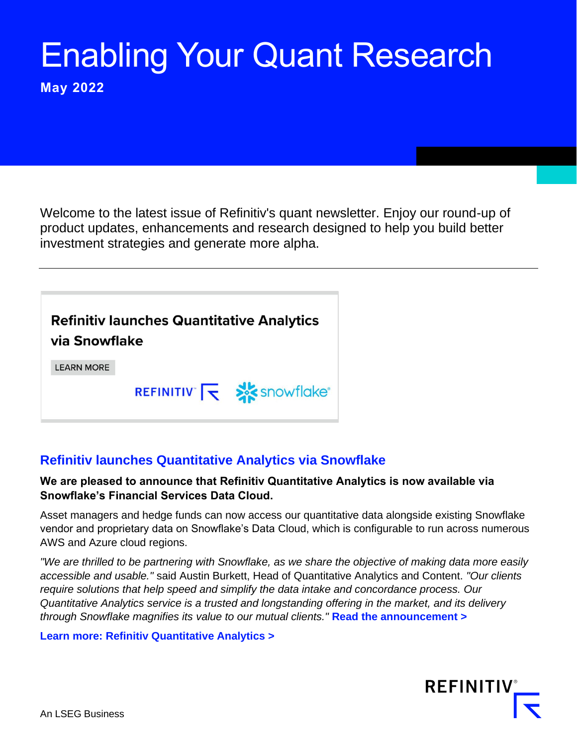# Enabling Your Quant Research

**May 2022**

Welcome to the latest issue of Refinitiv's quant newsletter. Enjoy our round-up of product updates, enhancements and research designed to help you build better investment strategies and generate more alpha.

**Refinitiv launches Quantitative Analytics** via Snowflake

**LEARN MORE** 

REFINITIV TV SASSONFIGKE®

# **[Refinitiv launches Quantitative Analytics via Snowflake](https://www.refinitiv.com/en/media-center/press-releases/2022/april/refinitiv-launches-quantitative-analytics-via-snowflakes-financial-services-data-cloud)**

#### **We are pleased to announce that Refinitiv Quantitative Analytics is now available via Snowflake's Financial Services Data Cloud.**

Asset managers and hedge funds can now access our quantitative data alongside existing Snowflake vendor and proprietary data on Snowflake's Data Cloud, which is configurable to run across numerous AWS and Azure cloud regions.

*"We are thrilled to be partnering with Snowflake, as we share the objective of making data more easily accessible and usable."* said Austin Burkett, Head of Quantitative Analytics and Content. *"Our clients require solutions that help speed and simplify the data intake and concordance process. Our Quantitative Analytics service is a trusted and longstanding offering in the market, and its delivery through Snowflake magnifies its value to our mutual clients."* **[Read the announcement >](https://www.refinitiv.com/en/media-center/press-releases/2022/april/refinitiv-launches-quantitative-analytics-via-snowflakes-financial-services-data-cloud)**

#### **[Learn more: Refinitiv Quantitative Analytics >](https://www.refinitiv.com/en/products/refinitiv-quantitative-analytics)**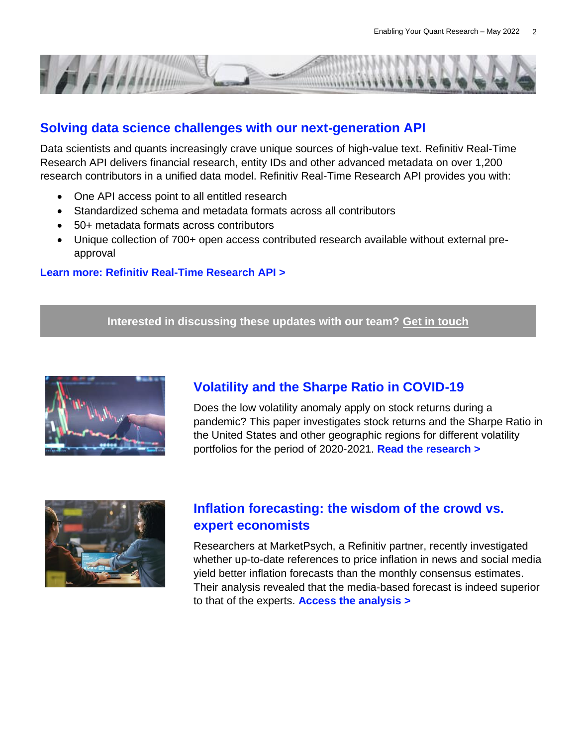

### **[Solving data science challenges with our next-generation API](https://images.marketing.refinitiv.com/Web/LSEG/%7B2868e1b6-8d8a-4038-929d-25839125647c%7D_Refinitiv_Real_Time_Research_API.pdf)**

Data scientists and quants increasingly crave unique sources of high-value text. [Refinitiv Real-Time](https://app.marketing.refinitiv.com/e/er?s=530566577&lid=164308&elqTrackId=E091A36FC061E10F62F12A375CF48911)  [Research API](https://app.marketing.refinitiv.com/e/er?s=530566577&lid=164308&elqTrackId=E091A36FC061E10F62F12A375CF48911) delivers financial research, entity IDs and other advanced metadata on over 1,200 research contributors in a unified data model. Refinitiv Real-Time Research API provides you with:

- One API access point to all entitled research
- Standardized schema and metadata formats across all contributors
- 50+ metadata formats across contributors
- Unique collection of 700+ open access contributed research available without external preapproval

#### **[Learn more: Refinitiv Real-Time Research API >](https://images.marketing.refinitiv.com/Web/LSEG/%7B2868e1b6-8d8a-4038-929d-25839125647c%7D_Refinitiv_Real_Time_Research_API.pdf)**

**Interested in discussing these updates with our team? [Get in touch](https://solutions.refinitiv.com/quant-newsletter-learn-more)**



# **[Volatility and the Sharpe Ratio in COVID-19](https://www.refinitiv.com/en/resources/white-paper/covid-19-impact-on-global-equity-markets)**

Does the low volatility anomaly apply on stock returns during a pandemic? This paper investigates stock returns and the Sharpe Ratio in the United States and other geographic regions for different volatility portfolios for the period of 2020-2021. **[Read the research >](https://www.refinitiv.com/en/resources/white-paper/covid-19-impact-on-global-equity-markets)**



### **[Inflation forecasting: the wisdom of the crowd vs.](https://www.refinitiv.com/perspectives/market-insights/inflation-forecasts-the-wisdom-of-the-crowd-versus-expert-economists/)  [expert economists](https://www.refinitiv.com/perspectives/market-insights/inflation-forecasts-the-wisdom-of-the-crowd-versus-expert-economists/)**

Researchers at MarketPsych, a Refinitiv partner, recently investigated whether up-to-date references to price inflation in news and social media yield better inflation forecasts than the monthly consensus estimates. Their analysis revealed that the media-based forecast is indeed superior to that of the experts. **[Access the analysis >](https://www.refinitiv.com/perspectives/market-insights/inflation-forecasts-the-wisdom-of-the-crowd-versus-expert-economists/)**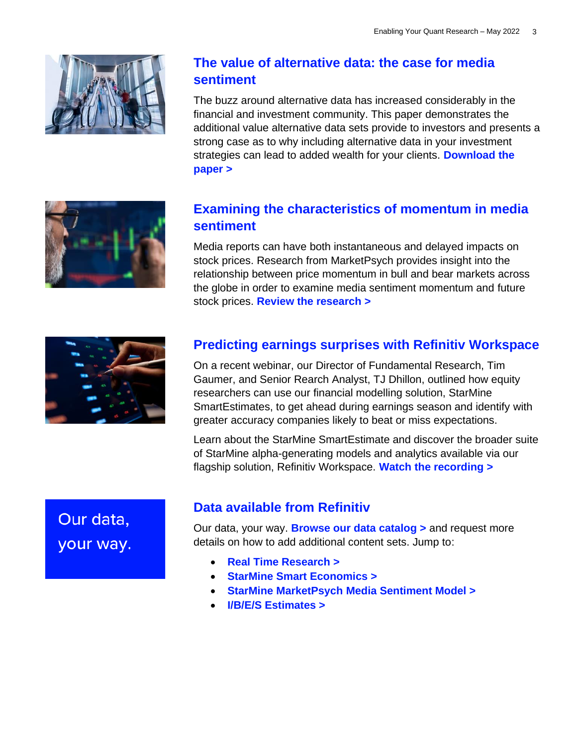

# **[The value of alternative data: the case for media](https://www.refinitiv.com/en/resources/white-paper/the-value-of-alternative-data-and-media-sentiment)  [sentiment](https://www.refinitiv.com/en/resources/white-paper/the-value-of-alternative-data-and-media-sentiment)**

The buzz around alternative data has increased considerably in the financial and investment community. This paper demonstrates the additional value alternative data sets provide to investors and presents a strong case as to why including alternative data in your investment strategies can lead to added wealth for your clients. **[Download the](https://www.refinitiv.com/en/resources/white-paper/the-value-of-alternative-data-and-media-sentiment)  [paper >](https://www.refinitiv.com/en/resources/white-paper/the-value-of-alternative-data-and-media-sentiment)**

# **[Examining the characteristics of momentum in media](https://images.marketing.refinitiv.com/Web/LSEG/%7Bd12df013-17b3-44e2-b9f0-e4dff31bb570%7D_MrketPsych-OptiRisk_Price_Drift_Report_AnthonyLuciani_2022-02-01-compressed.pdf)  [sentiment](https://images.marketing.refinitiv.com/Web/LSEG/%7Bd12df013-17b3-44e2-b9f0-e4dff31bb570%7D_MrketPsych-OptiRisk_Price_Drift_Report_AnthonyLuciani_2022-02-01-compressed.pdf)**

Media reports can have both instantaneous and delayed impacts on stock prices. Research from MarketPsych provides insight into the relationship between price momentum in bull and bear markets across the globe in order to examine media sentiment momentum and future stock prices[.](https://app.marketing.refinitiv.com/e/er?s=530566577&lid=164314&elqTrackId=7075EE5E762A559DF300127B5F2F46AD) **[Review the research >](https://images.marketing.refinitiv.com/Web/LSEG/%7Bd12df013-17b3-44e2-b9f0-e4dff31bb570%7D_MrketPsych-OptiRisk_Price_Drift_Report_AnthonyLuciani_2022-02-01-compressed.pdf)**



# **[Predicting earnings surprises with Refinitiv Workspace](https://www.youtube.com/watch?v=Icd9GZrAYS0&t=59s)**

On a recent webinar, our Director of Fundamental Research, Tim Gaumer, and Senior Rearch Analyst, TJ Dhillon, outlined how equity researchers can use our financial modelling solution, StarMine SmartEstimates, to get ahead during earnings season and identify with greater accuracy companies likely to beat or miss expectations.

Learn about the StarMine SmartEstimate and discover the broader suite of StarMine alpha-generating models and analytics available via our flagship solution, Refinitiv Workspace. **[Watch the recording >](https://www.youtube.com/watch?v=Icd9GZrAYS0&t=59s)**

Our data, your way.

## **[Data available from Refinitiv](https://www.refinitiv.com/en/financial-data)**

Our data, your way. **[Browse our data catalog >](https://www.refinitiv.com/en/financial-data)** and request more details on how to add additional content sets. Jump to:

- **[Real Time Research >](https://www.refinitiv.com/en/financial-data/company-data/broker-market-independent-research/real-time-research)**
- **[StarMine Smart Economics >](https://www.refinitiv.com/en/financial-data/analytics/quantitative-analytics/starmine-smarteconomics)**
- **[StarMine MarketPsych Media Sentiment Model >](https://www.refinitiv.com/en/financial-data/financial-news-coverage/company-news-feeds-analysis/starmine-marketpsych-media-sentiment)**
- **[I/B/E/S Estimates >](https://www.refinitiv.com/en/financial-data/company-data/ibes-estimates)**